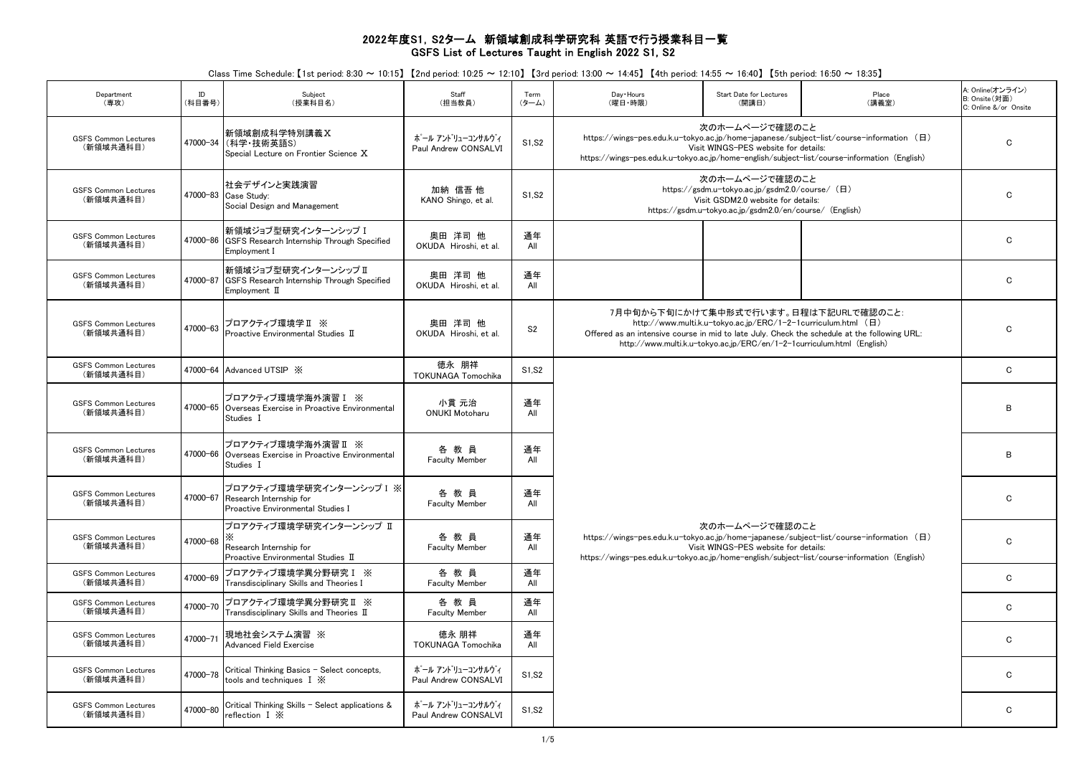## 2022年度S1,S2ターム 新領域創成科学研究科 英語で行う授業科目一覧 GSFS List of Lectures Taught in English 2022 S1, S2

Class Time Schedule: 【1st period: 8:30 ~ 10:15】 【2nd period: 10:25 ~ 12:10】 【3rd period: 13:00 ~ 14:45】 【4th period: 14:55 ~ 16:40】 【5th period: 16:50 ~ 18:35】

| Department<br>(専攻)                       | ID<br>(科目番号) | Subject<br>(授業科目名)                                                                                | Staff<br>(担当教員)                          | Term<br>$(9 - L)$ | Day + Hours<br>(曜日·時限)                                                                                                                                                                  | Start Date for Lectures<br>(開講日)                                                                                                                                  | Place<br>(講義室)                                                                                                                        | A: Online(オンライン)<br>B: Onsite(対面)<br>C: Online &/or Onsite |  |
|------------------------------------------|--------------|---------------------------------------------------------------------------------------------------|------------------------------------------|-------------------|-----------------------------------------------------------------------------------------------------------------------------------------------------------------------------------------|-------------------------------------------------------------------------------------------------------------------------------------------------------------------|---------------------------------------------------------------------------------------------------------------------------------------|------------------------------------------------------------|--|
| <b>GSFS Common Lectures</b><br>(新領域共通科目) | 47000-34     | 新領域創成科学特別講義X<br>(科学·技術英語S)<br>Special Lecture on Frontier Science X                               | ポール アントリューコンサルウィ<br>Paul Andrew CONSALVI | S1, S2            | https://wings-pes.edu.k.u-tokyo.ac.jp/home-japanese/subject-list/course-information (日)<br>https://wings-pes.edu.k.u-tokyo.ac.jp/home-english/subject-list/course-information (English) | 次のホームページで確認のこと<br>Visit WINGS-PES website for details:                                                                                                            | $\mathbf{C}$                                                                                                                          |                                                            |  |
| <b>GSFS Common Lectures</b><br>(新領域共通科目) |              | 社会デザインと実践演習<br>47000-83 Case Study:<br>Social Design and Management                               | 加納 信吾 他<br>KANO Shingo, et al.           | S1, S2            |                                                                                                                                                                                         | 次のホームページで確認のこと<br>https://gsdm.u-tokyo.ac.jp/gsdm2.0/course/ (日)<br>Visit GSDM2.0 website for details:<br>https://gsdm.u-tokyo.ac.jp/gsdm2.0/en/course/ (English) |                                                                                                                                       |                                                            |  |
| <b>GSFS Common Lectures</b><br>(新領域共通科目) | 47000-86     | 新領域ジョブ型研究インターンシップ I<br>GSFS Research Internship Through Specified<br>Employment I                 | 奥田 洋司 他<br>OKUDA Hiroshi, et al.         | 通年<br>All         |                                                                                                                                                                                         |                                                                                                                                                                   |                                                                                                                                       | C                                                          |  |
| <b>GSFS Common Lectures</b><br>(新領域共通科目) | 47000-87     | 新領域ジョブ型研究インターンシップ Ⅱ<br>GSFS Research Internship Through Specified<br>$Employment$ $II$            | 奥田 洋司 他<br>OKUDA Hiroshi, et al.         | 通年<br>All         |                                                                                                                                                                                         |                                                                                                                                                                   |                                                                                                                                       | C                                                          |  |
| <b>GSFS Common Lectures</b><br>(新領域共通科目) | 47000-63     | プロアクティブ環境学Ⅱ ※<br>Proactive Environmental Studies $I\!I$                                           | 奥田 洋司 他<br>OKUDA Hiroshi, et al.         | S <sub>2</sub>    |                                                                                                                                                                                         | http://www.multi.k.u-tokyo.ac.jp/ERC/1-2-1curriculum.html (日)<br>http://www.multi.k.u-tokyo.ac.jp/ERC/en/1-2-1curriculum.html (English)                           | 7月中旬から下旬にかけて集中形式で行います。日程は下記URLで確認のこと:<br>Offered as an intensive course in mid to late July. Check the schedule at the following URL: | $\mathbf C$                                                |  |
| <b>GSFS Common Lectures</b><br>(新領域共通科目) |              | 47000-64 Advanced UTSIP X                                                                         | 徳永 朋祥<br><b>TOKUNAGA Tomochika</b>       | S1.S2             |                                                                                                                                                                                         |                                                                                                                                                                   |                                                                                                                                       | $\mathbf{C}$                                               |  |
| <b>GSFS Common Lectures</b><br>(新領域共通科目) |              | プロアクティブ環境学海外演習 I ※<br>47000-65 Overseas Exercise in Proactive Environmental<br>Studies I          | 小貫 元治<br><b>ONUKI Motoharu</b>           | 通年<br>All         |                                                                                                                                                                                         |                                                                                                                                                                   |                                                                                                                                       |                                                            |  |
| <b>GSFS Common Lectures</b><br>(新領域共通科目) |              | プロアクティブ環境学海外演習Ⅱ ※<br>47000-66 Overseas Exercise in Proactive Environmental<br>Studies I           | 各教員<br><b>Faculty Member</b>             | 通年<br>All         |                                                                                                                                                                                         |                                                                                                                                                                   | B                                                                                                                                     |                                                            |  |
| <b>GSFS Common Lectures</b><br>(新領域共通科目) |              | プロアクティブ環境学研究インターンシップ I ※<br>47000-67 Research Internship for<br>Proactive Environmental Studies I | 各教員<br><b>Faculty Member</b>             | 通年<br>All         |                                                                                                                                                                                         |                                                                                                                                                                   | C                                                                                                                                     |                                                            |  |
| <b>GSFS Common Lectures</b><br>(新領域共通科目) | 47000-68     | プロアクティブ環境学研究インターンシップ Ⅱ<br>ж<br>Research Internship for<br>Proactive Environmental Studies II      | 各教員<br><b>Faculty Member</b>             | 通年<br>All         | https://wings-pes.edu.k.u-tokyo.ac.jp/home-japanese/subject-list/course-information (日)<br>https://wings-pes.edu.k.u-tokyo.ac.jp/home-english/subject-list/course-information (English) | 次のホームページで確認のこと<br>Visit WINGS-PES website for details:                                                                                                            | C                                                                                                                                     |                                                            |  |
| <b>GSFS Common Lectures</b><br>(新領域共通科目) | 47000-69     | プロアクティブ環境学異分野研究 I ※<br>Transdisciplinary Skills and Theories I                                    | 各教員<br>Faculty Member                    | 通年<br>All         |                                                                                                                                                                                         |                                                                                                                                                                   |                                                                                                                                       | C.                                                         |  |
| GSFS Common Lectures<br>(新領域共通科目)        | 47000-70     | プロアクティブ環境学異分野研究Ⅱ ※<br>Transdisciplinary Skills and Theories $\rm I\hspace{-0.8mm}I$               | 各教員<br><b>Faculty Member</b>             | 通年<br>All         |                                                                                                                                                                                         |                                                                                                                                                                   |                                                                                                                                       | C                                                          |  |
| GSFS Common Lectures<br>(新領域共通科目)        | 47000-71     | 現地社会システム演習 ※<br><b>Advanced Field Exercise</b>                                                    | 徳永 朋祥<br><b>TOKUNAGA Tomochika</b>       | 通年<br>All         |                                                                                                                                                                                         |                                                                                                                                                                   |                                                                                                                                       | C                                                          |  |
| <b>GSFS Common Lectures</b><br>(新領域共通科目) | 47000-78     | Critical Thinking Basics - Select concepts,<br>tools and techniques $I \mathbb{X}$                | ポール アントリューコンサルウィ<br>Paul Andrew CONSALVI | S1, S2            |                                                                                                                                                                                         |                                                                                                                                                                   |                                                                                                                                       | C                                                          |  |
| <b>GSFS Common Lectures</b><br>(新領域共通科目) | 47000-80     | Critical Thinking Skills - Select applications &<br>reflection $I \mathbb{X}$                     | ポール アントリューコンサルウィ<br>Paul Andrew CONSALVI | S1, S2            |                                                                                                                                                                                         |                                                                                                                                                                   |                                                                                                                                       | C                                                          |  |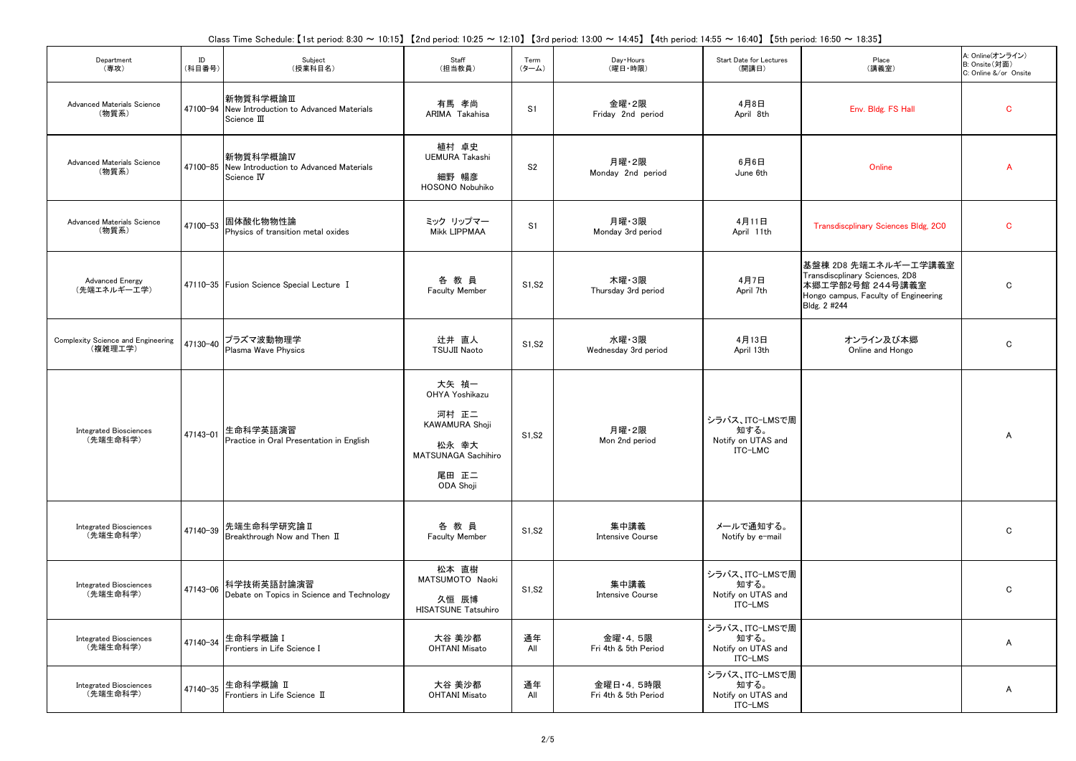Class Time Schedule: 【1st period: 8:30 ~ 10:15】 【2nd period: 10:25 ~ 12:10】 【3rd period: 13:00 ~ 14:45】 【4th period: 14:55 ~ 16:40】 【5th period: 16:50 ~ 18:35】

| Department<br>(専攻)                            | ID<br>(科目番号) | Subject<br>(授業科目名)                                                         | Staff<br>(担当教員)                                                                                                 | Term<br>$(5 - L)$ | Day + Hours<br>(曜日·時限)               | Start Date for Lectures<br>(開講日)                        | Place<br>(講義室)                                                                                                                     | A: Online(オンライン)<br>B: Onsite(対面)<br>C: Online &/or Onsite |
|-----------------------------------------------|--------------|----------------------------------------------------------------------------|-----------------------------------------------------------------------------------------------------------------|-------------------|--------------------------------------|---------------------------------------------------------|------------------------------------------------------------------------------------------------------------------------------------|------------------------------------------------------------|
| Advanced Materials Science<br>(物質系)           | 47100-94     | 新物質科学概論Ⅲ<br>New Introduction to Advanced Materials<br>Science III          | 有馬 孝尚<br>ARIMA Takahisa                                                                                         | S <sub>1</sub>    | 金曜・2限<br>Friday 2nd period           | 4月8日<br>April 8th                                       | Env. Bldg. FS Hall                                                                                                                 | $\mathbf{C}$                                               |
| Advanced Materials Science<br>(物質系)           |              | 新物質科学概論IV<br>47100-85 New Introduction to Advanced Materials<br>Science IV | 植村 卓史<br><b>UEMURA Takashi</b><br>細野 暢彦<br>HOSONO Nobuhiko                                                      | S <sub>2</sub>    | 月曜·2限<br>Monday 2nd period           | 6月6日<br>June 6th                                        | Online                                                                                                                             | A                                                          |
| Advanced Materials Science<br>(物質系)           | 47100-53     | 固体酸化物物性論<br>Physics of transition metal oxides                             | ミック リップマー<br>Mikk LIPPMAA                                                                                       | S1                | 月曜 3限<br>Monday 3rd period           | 4月11日<br>April 11th                                     | Transdiscplinary Sciences Bldg, 2C0                                                                                                | $\mathbf{C}$                                               |
| <b>Advanced Energy</b><br>(先端エネルギー工学)         |              | 47110-35 Fusion Science Special Lecture I                                  | 各教員<br><b>Faculty Member</b>                                                                                    | S1, S2            | 木曜・3限<br>Thursday 3rd period         | 4月7日<br>April 7th                                       | 基盤棟 2D8 先端エネルギー工学講義室<br>Transdiscplinary Sciences, 2D8<br>本郷工学部2号館 244号講義室<br>Hongo campus, Faculty of Engineering<br>Bldg. 2 #244 | $\mathbf C$                                                |
| Complexity Science and Engineering<br>(複雑理工学) | 47130-40     | プラズマ波動物理学<br>Plasma Wave Physics                                           | 辻井 直人<br><b>TSUJII Naoto</b>                                                                                    | S1, S2            | 水曜・3限<br>Wednesday 3rd period        | 4月13日<br>April 13th                                     | オンライン及び本郷<br>Online and Hongo                                                                                                      | C                                                          |
| <b>Integrated Biosciences</b><br>(先端生命科学)     | 47143-01     | 生命科学英語演習<br>Practice in Oral Presentation in English                       | 大矢 禎一<br>OHYA Yoshikazu<br>河村 正二<br><b>KAWAMURA Shoii</b><br>松永 幸大<br>MATSUNAGA Sachihiro<br>尾田 正二<br>ODA Shoji | S1, S2            | 月曜・2限<br>Mon 2nd period              | シラバス、ITC-LMSで周<br>知する。<br>Notify on UTAS and<br>ITC-LMC |                                                                                                                                    | A                                                          |
| <b>Integrated Biosciences</b><br>(先端生命科学)     | 47140-39     | 先端生命科学研究論 II<br>Breakthrough Now and Then II                               | 各教員<br><b>Faculty Member</b>                                                                                    | S1, S2            | 集中講義<br><b>Intensive Course</b>      | メールで通知する。<br>Notify by e-mail                           |                                                                                                                                    | $\mathbf C$                                                |
| <b>Integrated Biosciences</b><br>(先端生命科学)     | 47143-06     | 科学技術英語討論演習<br>Debate on Topics in Science and Technology                   | 松本 直樹<br>MATSUMOTO Naoki<br>久恒 辰博<br><b>HISATSUNE Tatsuhiro</b>                                                 | S1, S2            | 集中講義<br><b>Intensive Course</b>      | シラバス、ITC-LMSで周<br>知する。<br>Notify on UTAS and<br>ITC-LMS |                                                                                                                                    | $\mathbf C$                                                |
| <b>Integrated Biosciences</b><br>(先端生命科学)     | 47140-34     | 生命科学概論 I<br>Frontiers in Life Science I                                    | 大谷 美沙都<br><b>OHTANI Misato</b>                                                                                  | 通年<br>All         | 金曜·4.5限<br>Fri 4th & 5th Period      | シラバス、ITC-LMSで周<br>知する。<br>Notify on UTAS and<br>ITC-LMS |                                                                                                                                    | A                                                          |
| <b>Integrated Biosciences</b><br>(先端生命科学)     | 47140-35     | 生命科学概論 II<br>Frontiers in Life Science II                                  | 大谷 美沙都<br><b>OHTANI Misato</b>                                                                                  | 通年<br>All         | 金曜日 - 4, 5時限<br>Fri 4th & 5th Period | シラバス、ITC-LMSで周<br>知する。<br>Notify on UTAS and<br>ITC-LMS |                                                                                                                                    | A                                                          |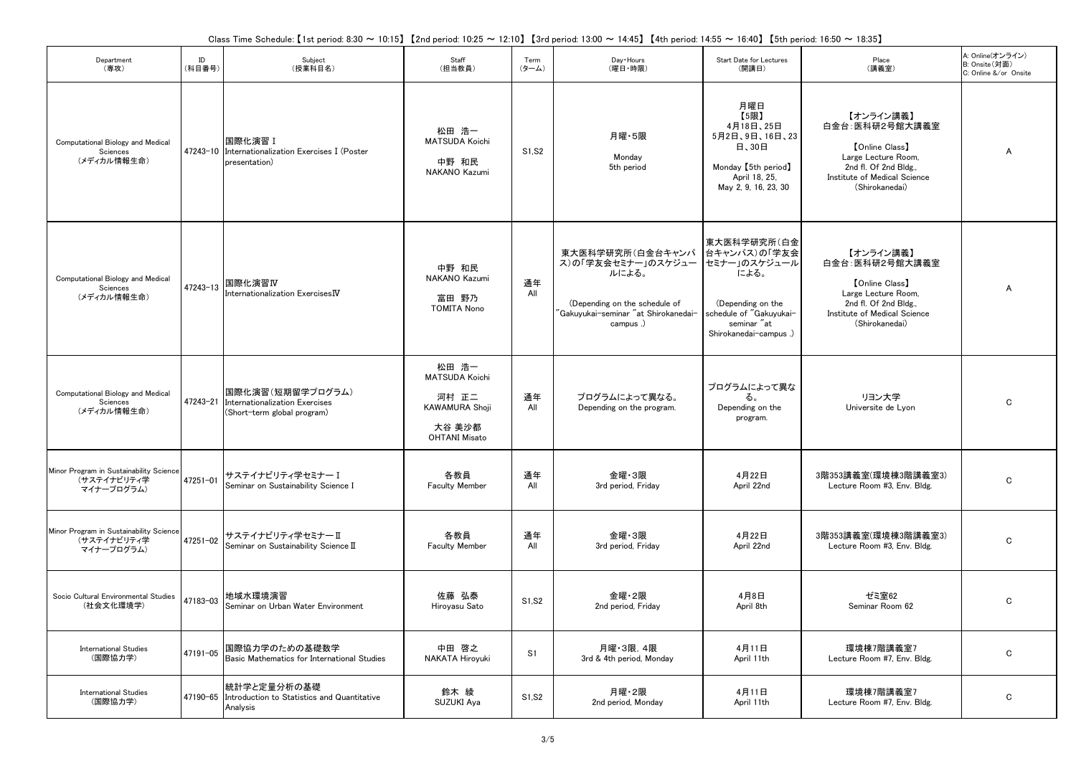| Department<br>(専攻)                                                   | ID<br>(科目番号) | Subject<br>(授業科目名)                                                                         | Staff<br>(担当教員)                                                                                    | Term<br>$(9 - L)$ | Day + Hours<br>(曜日·時限)                                                                                                               | Start Date for Lectures<br>(開講日)                                                                                                            | Place<br>(講義室)                                                                                                                                          | A: Online(オンライン)<br>B: Onsite(対面)<br>C: Online &/or Onsite |
|----------------------------------------------------------------------|--------------|--------------------------------------------------------------------------------------------|----------------------------------------------------------------------------------------------------|-------------------|--------------------------------------------------------------------------------------------------------------------------------------|---------------------------------------------------------------------------------------------------------------------------------------------|---------------------------------------------------------------------------------------------------------------------------------------------------------|------------------------------------------------------------|
| Computational Biology and Medical<br>Sciences<br>(メディカル情報生命)         |              | 国際化演習 I<br>47243-10 Internationalization Exercises I (Poster<br>presentation)              | 松田 浩一<br><b>MATSUDA Koichi</b><br>中野 和民<br>NAKANO Kazumi                                           | S1, S2            | 月曜・5限<br>Monday<br>5th period                                                                                                        | 月曜日<br>【5限】<br>4月18日、25日<br>5月2日、9日、16日、23<br>日、30日<br>Monday [5th period]<br>April 18, 25.<br>May 2, 9, 16, 23, 30                         | 【オンライン講義】<br>白金台: 医科研2号館大講義室<br><b>[Online Class]</b><br>Large Lecture Room,<br>2nd fl. Of 2nd Bldg.,<br>Institute of Medical Science<br>(Shirokanedai) | $\overline{A}$                                             |
| Computational Biology and Medical<br>Sciences<br>(メディカル情報生命)         | 47243-13     | 国際化演習IV<br>Internationalization Exercises $\overline{\textbf{W}}$                          | 中野 和民<br>NAKANO Kazumi<br>富田 野乃<br><b>TOMITA Nono</b>                                              | 通年<br>All         | 東大医科学研究所(白金台キャンパ<br>ス)の「学友会セミナー」のスケジュー<br>ルによる。<br>(Depending on the schedule of<br>'Gakuvukai-seminar "at Shirokanedai-<br>campus.) | 東大医科学研究所(白金<br>台キャンパス)の「学友会<br>セミナー」のスケジュール<br>による。<br>(Depending on the<br>schedule of "Gakuyukai-<br>seminar "at<br>Shirokanedai-campus.) | 【オンライン講義】<br>白金台: 医科研2号館大講義室<br><b>[Online Class]</b><br>Large Lecture Room,<br>2nd fl. Of 2nd Bldg.,<br>Institute of Medical Science<br>(Shirokanedai) | $\overline{A}$                                             |
| Computational Biology and Medical<br>Sciences<br>(メディカル情報生命)         |              | 国際化演習(短期留学プログラム)<br>47243-21 Internationalization Exercises<br>(Short-term global program) | 松田 浩一<br><b>MATSUDA Koichi</b><br>河村 正二<br><b>KAWAMURA Shoji</b><br>大谷 美沙都<br><b>OHTANI Misato</b> | 通年<br>All         | プログラムによって異なる。<br>Depending on the program.                                                                                           | プログラムによって異な<br>る。<br>Depending on the<br>program.                                                                                           | リヨン大学<br>Universite de Lyon                                                                                                                             | $\mathbf C$                                                |
| Minor Program in Sustainability Science<br>(サステイナビリティ学<br>マイナープログラム) | 47251-01     | サステイナビリティ学セミナー I<br>Seminar on Sustainability Science I                                    | 各教員<br><b>Faculty Member</b>                                                                       | 通年<br>All         | 金曜 3限<br>3rd period, Friday                                                                                                          | 4月22日<br>April 22nd                                                                                                                         | 3階353講義室(環境棟3階講義室3)<br>Lecture Room #3, Env. Bldg.                                                                                                      | $\mathbf C$                                                |
| Minor Program in Sustainability Science<br>(サステイナビリティ学<br>マイナープログラム) | 47251-02     | サステイナビリティ学セミナーⅡ<br>Seminar on Sustainability Science II                                    | 各教員<br><b>Faculty Member</b>                                                                       | 通年<br>All         | 金曜 3限<br>3rd period, Friday                                                                                                          | 4月22日<br>April 22nd                                                                                                                         | 3階353講義室(環境棟3階講義室3)<br>Lecture Room #3, Env. Bldg.                                                                                                      | $\mathbf C$                                                |
| Socio Cultural Environmental Studies<br>(社会文化環境学)                    | 47183-03     | 地域水環境演習<br>Seminar on Urban Water Environment                                              | 佐藤 弘泰<br>Hiroyasu Sato                                                                             | S1, S2            | 金曜・2限<br>2nd period. Fridav                                                                                                          | 4月8日<br>April 8th                                                                                                                           | ゼミ室62<br>Seminar Room 62                                                                                                                                | C                                                          |
| <b>International Studies</b><br>(国際協力学)                              | 47191-05     | 国際協力学のための基礎数学<br>Basic Mathematics for International Studies                               | 中田 啓之<br>NAKATA Hiroyuki                                                                           | S <sub>1</sub>    | 月曜·3限, 4限<br>3rd & 4th period, Monday                                                                                                | 4月11日<br>April 11th                                                                                                                         | 環境棟7階講義室7<br>Lecture Room #7, Env. Bldg.                                                                                                                | $\mathbf C$                                                |
| <b>International Studies</b><br>(国際協力学)                              |              | 統計学と定量分析の基礎<br>47190-65 Introduction to Statistics and Quantitative<br>Analysis            | 鈴木 綾<br>SUZUKI Aya                                                                                 | S1, S2            | 月曜・2限<br>2nd period, Monday                                                                                                          | 4月11日<br>April 11th                                                                                                                         | 環境棟7階講義室7<br>Lecture Room #7, Env. Bldg.                                                                                                                | C                                                          |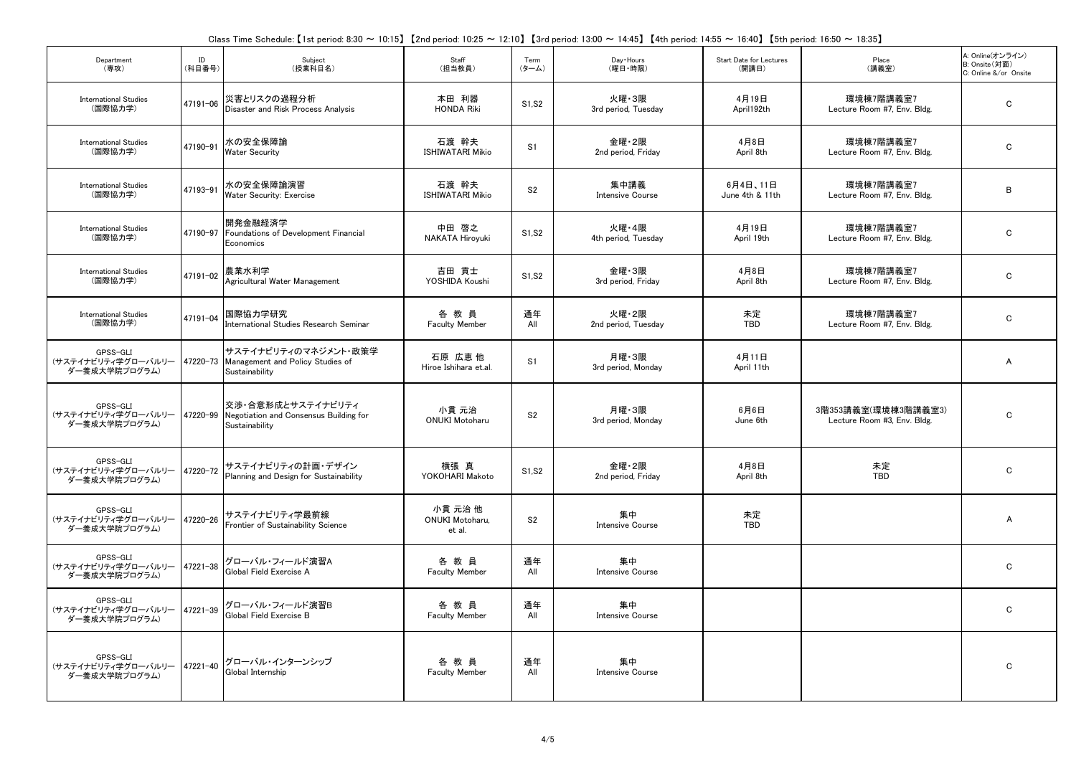| Department<br>(専攻)                              | ID<br>(科目番号) | Subject<br>(授業科目名)                                                                     | Staff<br>(担当教員)                      | Term<br>(ターム)  | Day · Hours<br>(曜日·時限)          | Start Date for Lectures<br>(開講日) | Place<br>(講義室)                                     | A: Online(オンライン)<br>B: Onsite (対面)<br>C: Online &/or Onsite |
|-------------------------------------------------|--------------|----------------------------------------------------------------------------------------|--------------------------------------|----------------|---------------------------------|----------------------------------|----------------------------------------------------|-------------------------------------------------------------|
| <b>International Studies</b><br>(国際協力学)         | 47191-06     | 災害とリスクの過程分析<br>Disaster and Risk Process Analysis                                      | 本田 利器<br><b>HONDA Riki</b>           | S1.S2          | 火曜・3限<br>3rd period, Tuesday    | 4月19日<br>April 192th             | 環境棟7階講義室7<br>Lecture Room #7, Env. Bldg.           | $\mathbf C$                                                 |
| <b>International Studies</b><br>(国際協力学)         | 47190-91     | 水の安全保障論<br><b>Water Security</b>                                                       | 石渡 幹夫<br><b>ISHIWATARI Mikio</b>     | S <sub>1</sub> | 金曜・2限<br>2nd period, Friday     | 4月8日<br>April 8th                | 環境棟7階講義室7<br>Lecture Room #7, Env. Bldg.           | C                                                           |
| <b>International Studies</b><br>(国際協力学)         | 47193-91     | 水の安全保障論演習<br>Water Security: Exercise                                                  | 石渡 幹夫<br><b>ISHIWATARI Mikio</b>     | S <sub>2</sub> | 集中講義<br><b>Intensive Course</b> | 6月4日、11日<br>June 4th & 11th      | 環境棟7階講義室7<br>Lecture Room #7, Env. Bldg.           | B                                                           |
| <b>International Studies</b><br>(国際協力学)         |              | 開発金融経済学<br>47190-97 Foundations of Development Financial<br>Economics                  | 中田 啓之<br>NAKATA Hiroyuki             | S1, S2         | 火曜・4限<br>4th period, Tuesday    | 4月19日<br>April 19th              | 環境棟7階講義室7<br>Lecture Room #7, Env. Bldg.           | $\mathbf C$                                                 |
| <b>International Studies</b><br>(国際協力学)         | 47191-02     | 農業水利学<br>Agricultural Water Management                                                 | 吉田 貢士<br>YOSHIDA Koushi              | S1, S2         | 金曜 3限<br>3rd period, Friday     | 4月8日<br>April 8th                | 環境棟7階講義室7<br>Lecture Room #7, Env. Bldg.           | C                                                           |
| <b>International Studies</b><br>(国際協力学)         | 47191-04     | 国際協力学研究<br>International Studies Research Seminar                                      | 各教員<br><b>Faculty Member</b>         | 通年<br>All      | 火曜・2限<br>2nd period, Tuesday    | 未定<br><b>TBD</b>                 | 環境棟7階講義室7<br>Lecture Room #7, Env. Bldg.           | $\mathbf C$                                                 |
| GPSS-GLI<br>(サステイナビリティ学グローバルリー<br>ダー養成大学院プログラム) |              | サステイナビリティのマネジメント・政策学<br>47220-73 Management and Policy Studies of<br>Sustainability    | 石原 広恵他<br>Hiroe Ishihara et.al.      | S1             | 月曜·3限<br>3rd period, Monday     | 4月11日<br>April 11th              |                                                    | Α                                                           |
| GPSS-GLI<br>(サステイナビリティ学グローバルリー<br>ダー養成大学院プログラム) |              | 交渉・合意形成とサステイナビリティ<br>47220-99 Negotiation and Consensus Building for<br>Sustainability | 小貫 元治<br><b>ONUKI Motoharu</b>       | S <sub>2</sub> | 月曜 3限<br>3rd period. Mondav     | 6月6日<br>June 6th                 | 3階353講義室(環境棟3階講義室3)<br>Lecture Room #3. Env. Bldg. | $\mathbf C$                                                 |
| GPSS-GLI<br>(サステイナビリティ学グローバルリー<br>ダー養成大学院プログラム) | 47220-72     | サステイナビリティの計画・デザイン<br>Planning and Design for Sustainability                            | 横張 真<br>YOKOHARI Makoto              | S1, S2         | 金曜・2限<br>2nd period, Friday     | 4月8日<br>April 8th                | 未定<br><b>TBD</b>                                   | $\mathbf C$                                                 |
| GPSS-GLI<br>(サステイナビリティ学グローバルリー<br>ダー養成大学院プログラム) | 47220-26     | サステイナビリティ学最前線<br>Frontier of Sustainability Science                                    | 小貫 元治 他<br>ONUKI Motoharu,<br>et al. | S <sub>2</sub> | 集中<br><b>Intensive Course</b>   | 未定<br><b>TBD</b>                 |                                                    | A                                                           |
| GPSS-GLI<br>(サステイナビリティ学グローバルリー<br>ダー養成大学院プログラム) | 47221-38     | グローバル・フィールド演習A<br>Global Field Exercise A                                              | 各教員<br><b>Faculty Member</b>         | 通年<br>All      | 集中<br><b>Intensive Course</b>   |                                  |                                                    | $\mathbf C$                                                 |
| GPSS-GLI<br>(サステイナビリティ学グローバルリー<br>ダー養成大学院プログラム) | 47221-39     | グローバル・フィールド演習B<br>Global Field Exercise B                                              | 各教員<br><b>Faculty Member</b>         | 通年<br>All      | 集中<br><b>Intensive Course</b>   |                                  |                                                    | C                                                           |
| GPSS-GLI<br>(サステイナビリティ学グローバルリー<br>ダー養成大学院プログラム) | 47221-40     | グローバル・インターンシップ<br>Global Internship                                                    | 各教員<br><b>Faculty Member</b>         | 通年<br>All      | 集中<br><b>Intensive Course</b>   |                                  |                                                    | $\mathbf C$                                                 |